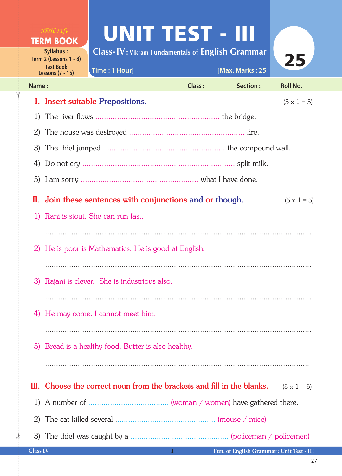UNIT TEST - III **TERM BOOK Class-IV : Vikram Fundamentals of English Grammar Syllabus** : 25 **Term 2 (Lessons 1 - 8) Text Book Time : 1 Hour] [Max. Marks : 25 Lessons (7 - 15) Name : Class : Section : Roll No.**  I. Insert suitable Prepositions.  $(5 \times 1 = 5)$  1) The river flows ......................................................... the bridge. 2) The house was destroyed ..................................................... fire. 3) The thief jumped ........................................................ the compound wall. 4) Do not cry ...................................................................... split milk. 5) I am sorry ...................................................... what I have done. II. Join these sentences with conjunctions and or though.  $(5 \times 1 = 5)$  1) Rani is stout. She can run fast. .......................................................................................................................... 2) He is poor is Mathematics. He is good at English. .......................................................................................................................... 3) Rajani is clever. She is industrious also. .......................................................................................................................... 4) He may come. I cannot meet him. .......................................................................................................................... 5) Bread is a healthy food. Butter is also healthy. III. Choose the correct noun from the brackets and fill in the blanks.  $(5 \times 1 = 5)$ 1) A number of ..................................... (woman / women) have gathered there.

2) The cat killed several .............................................. (mouse / mice)

**Class IV 1**

 $\frac{1}{2}$ 

✁

3) The thief was caught by a ............................................. (policeman / policemen)